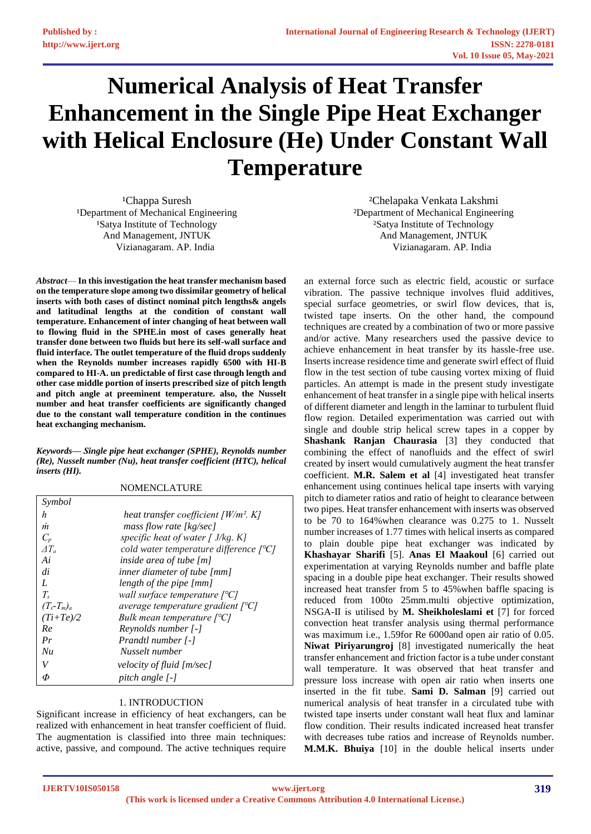# **Numerical Analysis of Heat Transfer Enhancement in the Single Pipe Heat Exchanger with Helical Enclosure (He) Under Constant Wall Temperature**

<sup>1</sup>Chappa Suresh <sup>1</sup>Department of Mechanical Engineering <sup>1</sup>Satya Institute of Technology And Management, JNTUK Vizianagaram. AP. India

*Abstract*— **In this investigation the heat transfer mechanism based on the temperature slope among two dissimilar geometry of helical inserts with both cases of distinct nominal pitch lengths& angels and latitudinal lengths at the condition of constant wall temperature. Enhancement of inter changing of heat between wall to flowing fluid in the SPHE.in most of cases generally heat transfer done between two fluids but here its self-wall surface and fluid interface. The outlet temperature of the fluid drops suddenly when the Reynolds number increases rapidly 6500 with HI-B compared to HI-A. un predictable of first case through length and other case middle portion of inserts prescribed size of pitch length and pitch angle at preeminent temperature. also, the Nusselt number and heat transfer coefficients are significantly changed due to the constant wall temperature condition in the continues heat exchanging mechanism.**

*Keywords— Single pipe heat exchanger (SPHE), Reynolds number (Re), Nusselt number (Nu), heat transfer coefficient (HTC), helical inserts (HI).* 

| Symbol          |                                                               |
|-----------------|---------------------------------------------------------------|
| h               | heat transfer coefficient $\lfloor W/m^2 \rfloor$ . K.        |
| m               | mass flow rate [kg/sec]                                       |
| $C_p$           | specific heat of water $\int J/kg$ . K]                       |
| $\varDelta T_a$ | cold water temperature difference $\lceil {^{\circ}C} \rceil$ |
| Ai              | inside area of tube $[m]$                                     |
| di              | inner diameter of tube [mm]                                   |
| L               | length of the pipe [mm]                                       |
| $T_{s}$         | wall surface temperature $\lceil {^{\circ}C} \rceil$          |
| $(T_s-T_m)_a$   | average temperature gradient $[°C]$                           |
| $(Ti+Te)/2$     | Bulk mean temperature $[°C]$                                  |
| Re              | Reynolds number [-]                                           |
| Pr              | Prandtl number [-]                                            |
| Nu              | Nusselt number                                                |
| V               | velocity of fluid [m/sec]                                     |
| Φ               | pitch angle [-]                                               |

NOMENCLATURE

## 1. INTRODUCTION

Significant increase in efficiency of heat exchangers, can be realized with enhancement in heat transfer coefficient of fluid. The augmentation is classified into three main techniques: active, passive, and compound. The active techniques require

²Chelapaka Venkata Lakshmi ²Department of Mechanical Engineering ²Satya Institute of Technology And Management, JNTUK Vizianagaram. AP. India

an external force such as electric field, acoustic or surface vibration. The passive technique involves fluid additives, special surface geometries, or swirl flow devices, that is, twisted tape inserts. On the other hand, the compound techniques are created by a combination of two or more passive and/or active. Many researchers used the passive device to achieve enhancement in heat transfer by its hassle-free use. Inserts increase residence time and generate swirl effect of fluid flow in the test section of tube causing vortex mixing of fluid particles. An attempt is made in the present study investigate enhancement of heat transfer in a single pipe with helical inserts of different diameter and length in the laminar to turbulent fluid flow region. Detailed experimentation was carried out with single and double strip helical screw tapes in a copper by **Shashank Ranjan Chaurasia** [3] they conducted that combining the effect of nanofluids and the effect of swirl created by insert would cumulatively augment the heat transfer coefficient. **M.R. Salem et al** [4] investigated heat transfer enhancement using continues helical tape inserts with varying pitch to diameter ratios and ratio of height to clearance between two pipes. Heat transfer enhancement with inserts was observed to be 70 to 164%when clearance was 0.275 to 1. Nusselt number increases of 1.77 times with helical inserts as compared to plain double pipe heat exchanger was indicated by **Khashayar Sharifi** [5]. **Anas El Maakoul** [6] carried out experimentation at varying Reynolds number and baffle plate spacing in a double pipe heat exchanger. Their results showed increased heat transfer from 5 to 45%when baffle spacing is reduced from 100to 25mm.multi objective optimization, NSGA-Ⅱ is utilised by **M. Sheikholeslami et** [7] for forced convection heat transfer analysis using thermal performance was maximum i.e., 1.59for Re 6000and open air ratio of 0.05. **Niwat Piriyarungroj** [8] investigated numerically the heat transfer enhancement and friction factor is a tube under constant wall temperature. It was observed that heat transfer and pressure loss increase with open air ratio when inserts one inserted in the fit tube. **Sami D. Salman** [9] carried out numerical analysis of heat transfer in a circulated tube with twisted tape inserts under constant wall heat flux and laminar flow condition. Their results indicated increased heat transfer with decreases tube ratios and increase of Reynolds number. **M.M.K. Bhuiya** [10] in the double helical inserts under

**IJERTV10IS050158**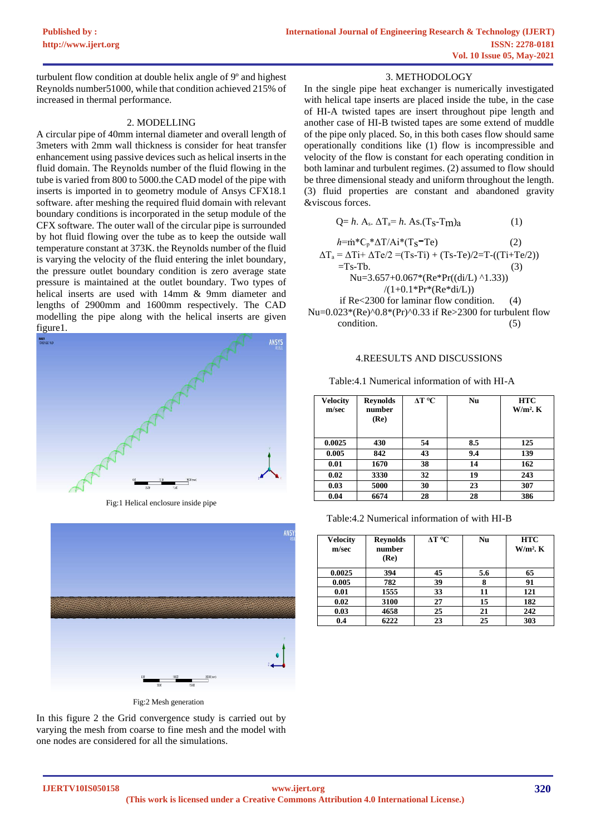turbulent flow condition at double helix angle of 9º and highest Reynolds number51000, while that condition achieved 215% of increased in thermal performance.

## 2. MODELLING

A circular pipe of 40mm internal diameter and overall length of 3meters with 2mm wall thickness is consider for heat transfer enhancement using passive devices such as helical inserts in the fluid domain. The Reynolds number of the fluid flowing in the tube is varied from 800 to 5000.the CAD model of the pipe with inserts is imported in to geometry module of Ansys CFX18.1 software. after meshing the required fluid domain with relevant boundary conditions is incorporated in the setup module of the CFX software. The outer wall of the circular pipe is surrounded by hot fluid flowing over the tube as to keep the outside wall temperature constant at 373K. the Reynolds number of the fluid is varying the velocity of the fluid entering the inlet boundary, the pressure outlet boundary condition is zero average state pressure is maintained at the outlet boundary. Two types of helical inserts are used with 14mm & 9mm diameter and lengths of 2900mm and 1600mm respectively. The CAD modelling the pipe along with the helical inserts are given figure1.



Fig:1 Helical enclosure inside pipe



Fig:2 Mesh generation

In this figure 2 the Grid convergence study is carried out by varying the mesh from coarse to fine mesh and the model with one nodes are considered for all the simulations.

## 3. METHODOLOGY

In the single pipe heat exchanger is numerically investigated with helical tape inserts are placed inside the tube, in the case of HI-A twisted tapes are insert throughout pipe length and another case of HI-B twisted tapes are some extend of muddle of the pipe only placed. So, in this both cases flow should same operationally conditions like (1) flow is incompressible and velocity of the flow is constant for each operating condition in both laminar and turbulent regimes. (2) assumed to flow should be three dimensional steady and uniform throughout the length. (3) fluid properties are constant and abandoned gravity &viscous forces.

$$
Q=h. A_s. \Delta T_a=h. As.(T_S-T_m)a
$$
 (1)

$$
h=\dot{m}^*C_p^*\Delta T/Ai^*(T_S-Te)
$$
\n
$$
\Delta T_a = \Delta Ti + \Delta Te/2 = (Ts-Ti) + (Ts-Te)/2 = T-((Ti+Te/2))
$$
\n(2)

$$
-Ts - Tb.
$$
\n(3)  
\n
$$
-Ts - Tb.
$$
\n(4)  
\n
$$
Nu = 3.657 + 0.067*(Re*Pr((di/L) \land 1.33))
$$
\n(1+0.1\*Pr\* (Re\*di/L))  
\nif Re<2300 for laminar flow condition. (4)

Nu= $0.023*(Re)^0.8*(Pr)^0.33$  if Re>2300 for turbulent flow condition. (5)

#### 4.REESULTS AND DISCUSSIONS

Table:4.1 Numerical information of with HI-A

| <b>Velocity</b><br>m/sec | <b>Reynolds</b><br>number<br>(Re) | ∆T °C | Nu  | <b>HTC</b><br>$W/m2$ . K |
|--------------------------|-----------------------------------|-------|-----|--------------------------|
| 0.0025                   | 430                               | 54    | 8.5 | 125                      |
| 0.005                    | 842                               | 43    | 9.4 | 139                      |
| 0.01                     | 1670                              | 38    | 14  | 162                      |
| 0.02                     | 3330                              | 32    | 19  | 243                      |
| 0.03                     | 5000                              | 30    | 23  | 307                      |
| 0.04                     | 6674                              | 28    | 28  | 386                      |

Table:4.2 Numerical information of with HI-B

| <b>Velocity</b><br>m/sec | <b>Revnolds</b><br>number<br>(Re) | $\Delta T$ °C | Nu  | <b>HTC</b><br>$W/m2$ . K |
|--------------------------|-----------------------------------|---------------|-----|--------------------------|
| 0.0025                   | 394                               | 45            | 5.6 | 65                       |
| 0.005                    | 782                               | 39            | 8   | 91                       |
| 0.01                     | 1555                              | 33            | 11  | 121                      |
| 0.02                     | 3100                              | 27            | 15  | 182                      |
| 0.03                     | 4658                              | 25            | 21  | 242                      |
| 0.4                      | 6222                              | 23            | 25  | 303                      |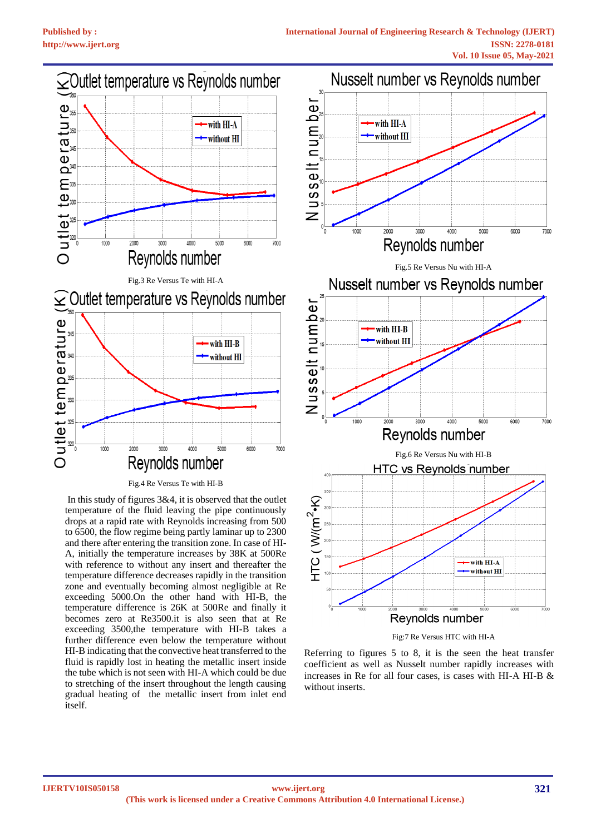

Fig.4 Re Versus Te with HI-B

In this study of figures 3&4, it is observed that the outlet temperature of the fluid leaving the pipe continuously drops at a rapid rate with Reynolds increasing from 500 to 6500, the flow regime being partly laminar up to 2300 and there after entering the transition zone. In case of HI-A, initially the temperature increases by 38K at 500Re with reference to without any insert and thereafter the temperature difference decreases rapidly in the transition zone and eventually becoming almost negligible at Re exceeding 5000.On the other hand with HI-B, the temperature difference is 26K at 500Re and finally it becomes zero at Re3500.it is also seen that at Re exceeding 3500,the temperature with HI-B takes a further difference even below the temperature without HI-B indicating that the convective heat transferred to the fluid is rapidly lost in heating the metallic insert inside the tube which is not seen with HI-A which could be due to stretching of the insert throughout the length causing gradual heating of the metallic insert from inlet end itself.



Fig:7 Re Versus HTC with HI-A

Referring to figures 5 to 8, it is the seen the heat transfer coefficient as well as Nusselt number rapidly increases with increases in Re for all four cases, is cases with HI-A HI-B & without inserts.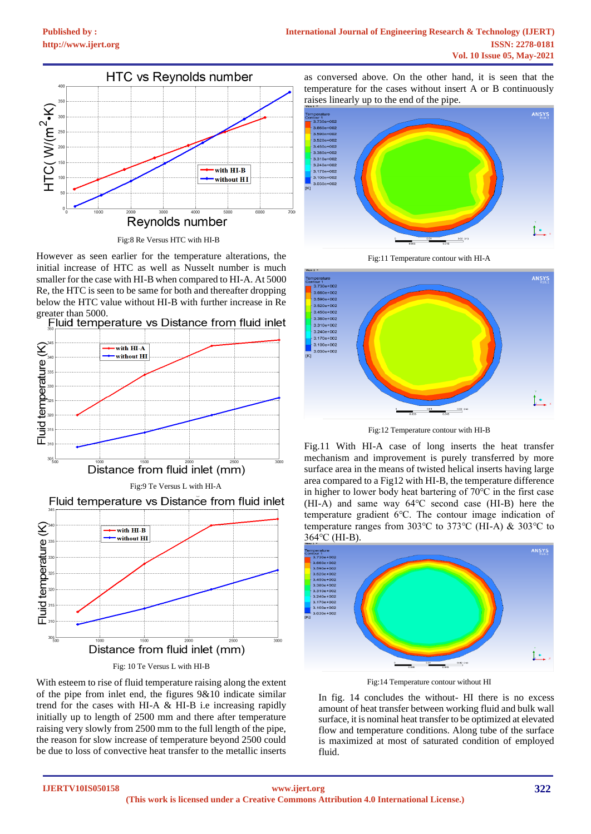

Fig:8 Re Versus HTC with HI-B

However as seen earlier for the temperature alterations, the initial increase of HTC as well as Nusselt number is much smaller for the case with HI-B when compared to HI-A. At 5000 Re, the HTC is seen to be same for both and thereafter dropping below the HTC value without HI-B with further increase in Re greater than 5000.<br>Fluid temperature vs Distance from fluid inlet





Fig: 10 Te Versus L with HI-B

With esteem to rise of fluid temperature raising along the extent of the pipe from inlet end, the figures 9&10 indicate similar trend for the cases with HI-A & HI-B i.e increasing rapidly initially up to length of 2500 mm and there after temperature raising very slowly from 2500 mm to the full length of the pipe, the reason for slow increase of temperature beyond 2500 could be due to loss of convective heat transfer to the metallic inserts

as conversed above. On the other hand, it is seen that the temperature for the cases without insert A or B continuously raises linearly up to the end of the pipe.



Fig:11 Temperature contour with HI-A



Fig:12 Temperature contour with HI-B

Fig.11 With HI-A case of long inserts the heat transfer mechanism and improvement is purely transferred by more surface area in the means of twisted helical inserts having large area compared to a Fig12 with HI-B, the temperature difference in higher to lower body heat bartering of 70℃ in the first case (HI-A) and same way 64℃ second case (HI-B) here the temperature gradient 6℃. The contour image indication of temperature ranges from 303℃ to 373℃ (HI-A) & 303℃ to 364℃ (HI-B).



Fig:14 Temperature contour without HI

In fig. 14 concludes the without- HI there is no excess amount of heat transfer between working fluid and bulk wall surface, it is nominal heat transfer to be optimized at elevated flow and temperature conditions. Along tube of the surface is maximized at most of saturated condition of employed fluid.